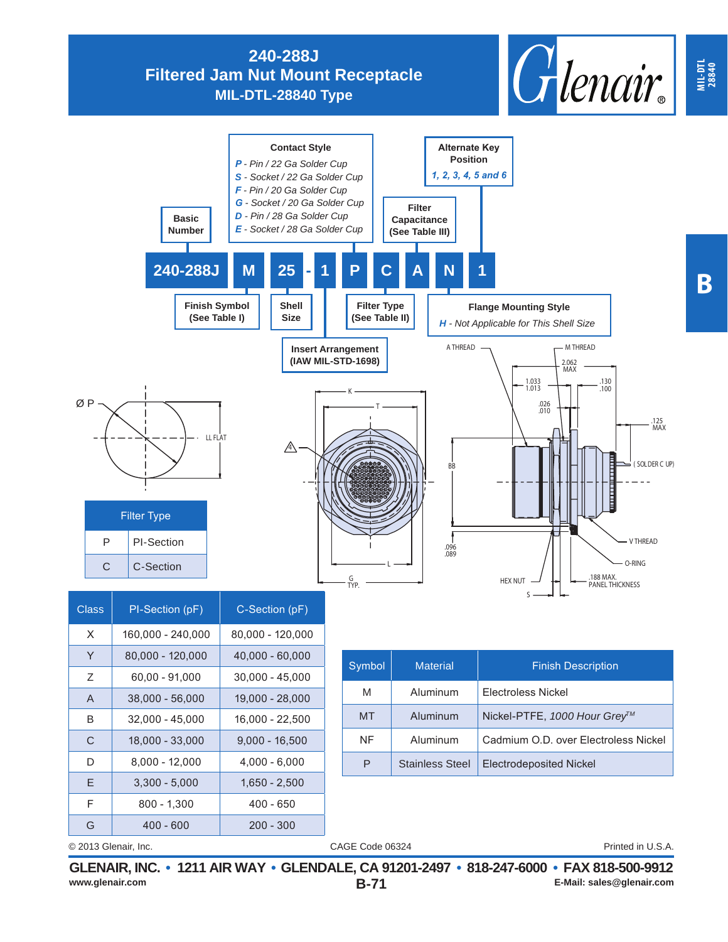**240-288J Filtered Jam Nut Mount Receptacle**

**MIL-DTL-28840 Type**





B 32,000 - 45,000 16,000 - 22,500 C | 18,000 - 33,000 | 9,000 - 16,500 D 8,000 - 12,000 4,000 - 6,000 E | 3,300 - 5,000 | 1,650 - 2,500  $F$  800 - 1,300 400 - 650 G | 400 - 600 | 200 - 300

CAGE Code 06324 © 2013 Glenair, Inc. Printed in U.S.A.

MT | Aluminum | Nickel-PTFE, 1000 Hour Grey<sup>TM</sup>

P | Stainless Steel | Electrodeposited Nickel

NF | Aluminum | Cadmium O.D. over Electroless Nickel

**MIL-DTL 28840**